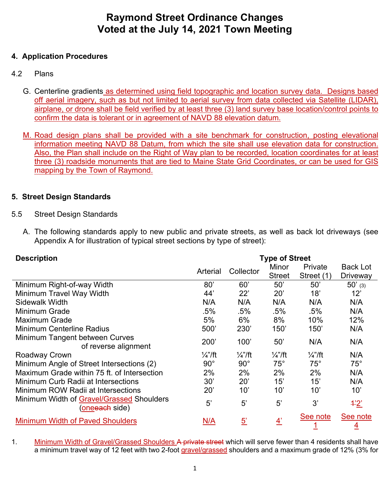# **Raymond Street Ordinance Changes Voted at the July 14, 2021 Town Meeting**

## **4. Application Procedures**

## 4.2 Plans

- G. Centerline gradients as determined using field topographic and location survey data. Designs based off aerial imagery, such as but not limited to aerial survey from data collected via Satellite (LIDAR), airplane, or drone shall be field verified by at least three (3) land survey base location/control points to confirm the data is tolerant or in agreement of NAVD 88 elevation datum.
- M. Road design plans shall be provided with a site benchmark for construction, posting elevational information meeting NAVD 88 Datum, from which the site shall use elevation data for construction. Also, the Plan shall include on the Right of Way plan to be recorded, location coordinates for at least three (3) roadside monuments that are tied to Maine State Grid Coordinates, or can be used for GIS mapping by the Town of Raymond.

## **5. Street Design Standards**

#### 5.5 Street Design Standards

A. The following standards apply to new public and private streets, as well as back lot driveways (see Appendix A for illustration of typical street sections by type of street):

| <b>Description</b>                                                      | <b>Type of Street</b> |                    |                    |                    |                            |  |
|-------------------------------------------------------------------------|-----------------------|--------------------|--------------------|--------------------|----------------------------|--|
|                                                                         | Arterial              | Collector          | Minor              | Private            | <b>Back Lot</b>            |  |
|                                                                         |                       |                    | <b>Street</b>      | Street (1)         | Driveway                   |  |
| Minimum Right-of-way Width                                              | 80'                   | 60'                | 50'                | 50'                | $50'$ (3)                  |  |
| Minimum Travel Way Width                                                | 44'                   | 22'                | 20'                | 18'                | 12'                        |  |
| <b>Sidewalk Width</b>                                                   | N/A                   | N/A                | N/A                | N/A                | N/A                        |  |
| <b>Minimum Grade</b>                                                    | .5%                   | .5%                | .5%                | .5%                | N/A                        |  |
| <b>Maximum Grade</b>                                                    | 5%                    | 6%                 | 8%                 | 10%                | 12%                        |  |
| <b>Minimum Centerline Radius</b>                                        | 500'                  | 230'               | 150'               | 150'               | N/A                        |  |
| Minimum Tangent between Curves<br>of reverse alignment                  | 200'                  | 100'               | 50'                | N/A                | N/A                        |  |
| Roadway Crown                                                           | $\frac{1}{4}$ "/ft    | $\frac{1}{4}$ "/ft | $\frac{1}{4}$ "/ft | $\frac{1}{4}$ "/ft | N/A                        |  |
| Minimum Angle of Street Intersections (2)                               | $90^{\circ}$          | $90^{\circ}$       | $75^\circ$         | $75^\circ$         | $75^\circ$                 |  |
| Maximum Grade within 75 ft. of Intersection                             | 2%                    | 2%                 | 2%                 | 2%                 | N/A                        |  |
| Minimum Curb Radii at Intersections                                     | 30'                   | 20'                | 15'                | 15'                | N/A                        |  |
| Minimum ROW Radii at Intersections                                      | 20'                   | 10'                | 10'                | 10'                | 10'                        |  |
| Minimum Width of Gravel/Grassed Shoulders<br>(one <del>each</del> side) | 5'                    | 5'                 | 5'                 | 3'                 | $+2$                       |  |
| <b>Minimum Width of Paved Shoulders</b>                                 | N/A                   | $\overline{5}$     | $\overline{4}$     | See note           | See note<br>$\overline{4}$ |  |

<sup>1.</sup> Minimum Width of Gravel/Grassed Shoulders A private street which will serve fewer than 4 residents shall have a minimum travel way of 12 feet with two 2-foot gravel/grassed shoulders and a maximum grade of 12% (3% for